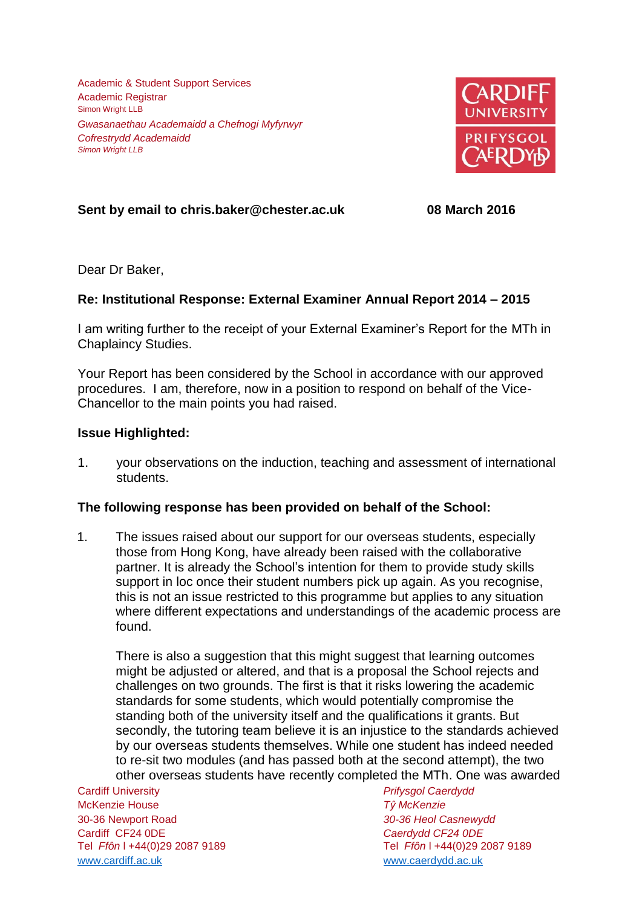Academic & Student Support Services Academic Registrar Simon Wright LLB *Gwasanaethau Academaidd a Chefnogi Myfyrwyr Cofrestrydd Academaidd Simon Wright LLB*



# **Sent by email to chris.baker@chester.ac.uk 08 March 2016**

Dear Dr Baker,

## **Re: Institutional Response: External Examiner Annual Report 2014 – 2015**

I am writing further to the receipt of your External Examiner's Report for the MTh in Chaplaincy Studies.

Your Report has been considered by the School in accordance with our approved procedures. I am, therefore, now in a position to respond on behalf of the Vice-Chancellor to the main points you had raised.

## **Issue Highlighted:**

1. your observations on the induction, teaching and assessment of international students.

## **The following response has been provided on behalf of the School:**

1. The issues raised about our support for our overseas students, especially those from Hong Kong, have already been raised with the collaborative partner. It is already the School's intention for them to provide study skills support in loc once their student numbers pick up again. As you recognise, this is not an issue restricted to this programme but applies to any situation where different expectations and understandings of the academic process are found.

There is also a suggestion that this might suggest that learning outcomes might be adjusted or altered, and that is a proposal the School rejects and challenges on two grounds. The first is that it risks lowering the academic standards for some students, which would potentially compromise the standing both of the university itself and the qualifications it grants. But secondly, the tutoring team believe it is an injustice to the standards achieved by our overseas students themselves. While one student has indeed needed to re-sit two modules (and has passed both at the second attempt), the two other overseas students have recently completed the MTh. One was awarded

Cardiff University *Prifysgol Caerdydd* McKenzie House *Tŷ McKenzie* 30-36 Newport Road *30-36 Heol Casnewydd* Cardiff CF24 0DE *Caerdydd CF24 0DE* [www.cardiff.ac.uk](http://www.cardiff.ac.uk/) www.cardiff.ac.uk

Tel *Ffôn* l +44(0)29 2087 9189 Tel *Ffôn* l +44(0)29 2087 9189